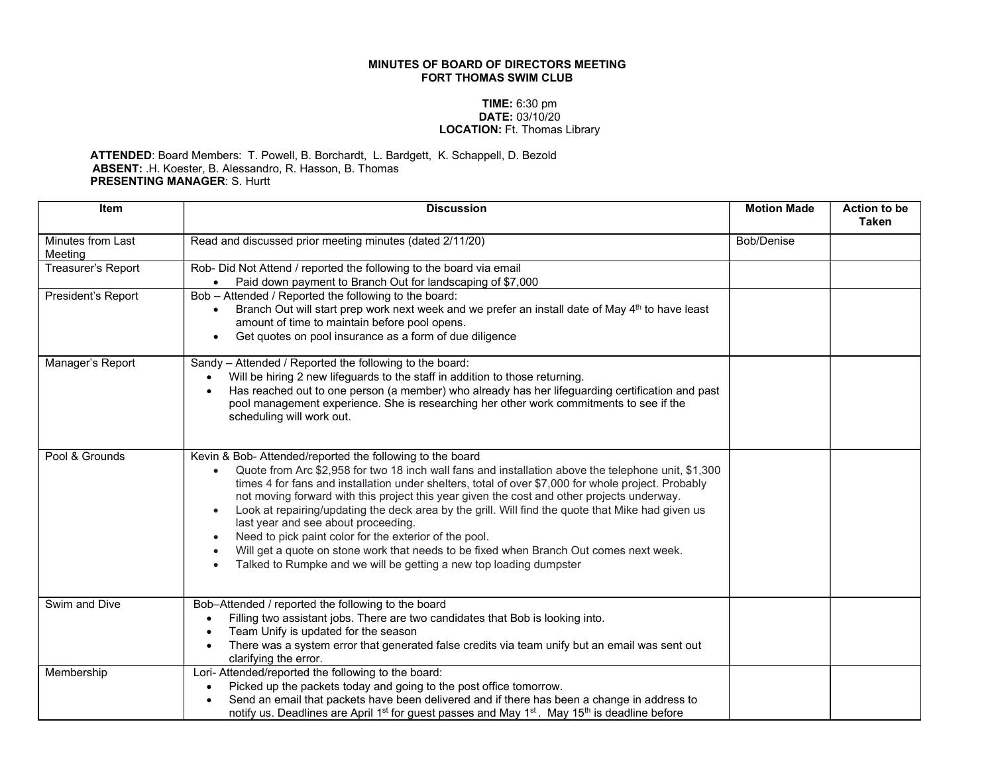## MINUTES OF BOARD OF DIRECTORS MEETING FORT THOMAS SWIM CLUB

## TIME: 6:30 pm DATE: 03/10/20 LOCATION: Ft. Thomas Library

## ATTENDED: Board Members: T. Powell, B. Borchardt, L. Bardgett, K. Schappell, D. Bezold ABSENT: .H. Koester, B. Alessandro, R. Hasson, B. Thomas PRESENTING MANAGER: S. Hurtt

| <b>Item</b>                         | <b>Discussion</b>                                                                                                                                                                                                                                                                                                                                                                                                                                                                                                                                                                                                                                                                                                                                                                               | <b>Motion Made</b> | <b>Action to be</b><br>Taken |
|-------------------------------------|-------------------------------------------------------------------------------------------------------------------------------------------------------------------------------------------------------------------------------------------------------------------------------------------------------------------------------------------------------------------------------------------------------------------------------------------------------------------------------------------------------------------------------------------------------------------------------------------------------------------------------------------------------------------------------------------------------------------------------------------------------------------------------------------------|--------------------|------------------------------|
| <b>Minutes from Last</b><br>Meeting | Read and discussed prior meeting minutes (dated 2/11/20)                                                                                                                                                                                                                                                                                                                                                                                                                                                                                                                                                                                                                                                                                                                                        | Bob/Denise         |                              |
| Treasurer's Report                  | Rob- Did Not Attend / reported the following to the board via email<br>• Paid down payment to Branch Out for landscaping of \$7,000                                                                                                                                                                                                                                                                                                                                                                                                                                                                                                                                                                                                                                                             |                    |                              |
| President's Report                  | Bob - Attended / Reported the following to the board:<br>Branch Out will start prep work next week and we prefer an install date of May 4th to have least<br>amount of time to maintain before pool opens.<br>Get quotes on pool insurance as a form of due diligence                                                                                                                                                                                                                                                                                                                                                                                                                                                                                                                           |                    |                              |
| Manager's Report                    | Sandy - Attended / Reported the following to the board:<br>Will be hiring 2 new lifeguards to the staff in addition to those returning.<br>Has reached out to one person (a member) who already has her lifeguarding certification and past<br>pool management experience. She is researching her other work commitments to see if the<br>scheduling will work out.                                                                                                                                                                                                                                                                                                                                                                                                                             |                    |                              |
| Pool & Grounds                      | Kevin & Bob- Attended/reported the following to the board<br>Quote from Arc \$2,958 for two 18 inch wall fans and installation above the telephone unit, \$1,300<br>times 4 for fans and installation under shelters, total of over \$7,000 for whole project. Probably<br>not moving forward with this project this year given the cost and other projects underway.<br>Look at repairing/updating the deck area by the grill. Will find the quote that Mike had given us<br>$\bullet$<br>last year and see about proceeding.<br>Need to pick paint color for the exterior of the pool.<br>$\bullet$<br>Will get a quote on stone work that needs to be fixed when Branch Out comes next week.<br>$\bullet$<br>Talked to Rumpke and we will be getting a new top loading dumpster<br>$\bullet$ |                    |                              |
| Swim and Dive                       | Bob-Attended / reported the following to the board<br>Filling two assistant jobs. There are two candidates that Bob is looking into.<br>Team Unify is updated for the season<br>There was a system error that generated false credits via team unify but an email was sent out<br>clarifying the error.                                                                                                                                                                                                                                                                                                                                                                                                                                                                                         |                    |                              |
| Membership                          | Lori- Attended/reported the following to the board:<br>Picked up the packets today and going to the post office tomorrow.<br>Send an email that packets have been delivered and if there has been a change in address to<br>notify us. Deadlines are April 1 <sup>st</sup> for guest passes and May 1 <sup>st</sup> . May 15 <sup>th</sup> is deadline before                                                                                                                                                                                                                                                                                                                                                                                                                                   |                    |                              |